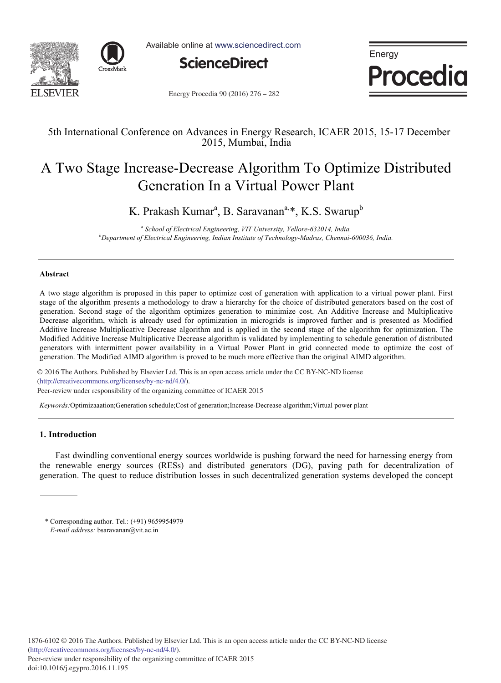



Available online at www.sciencedirect.com



Energy Procedia

Energy Procedia 90 (2016) 276 - 282

# 5th International Conference on Advances in Energy Research, ICAER 2015, 15-17 December 2015, Mumbai, India

# A Two Stage Increase-Decrease Algorithm To Optimize Distributed Generation In a Virtual Power Plant

K. Prakash Kumar<sup>a</sup>, B. Saravanan<sup>a,</sup>\*, K.S. Swarup<sup>b</sup>

<sup>a</sup> School of Electrical Engineering, VIT University, Vellore-632014, India.<br><sup>b</sup>Department of Electrical Engineering, Indian Institute of Technology Madnas, Chennai. *Department of Electrical Engineering, Indian Institute of Technology-Madras, Chennai-600036, India.* 

#### **Abstract**

A two stage algorithm is proposed in this paper to optimize cost of generation with application to a virtual power plant. First stage of the algorithm presents a methodology to draw a hierarchy for the choice of distributed generators based on the cost of generation. Second stage of the algorithm optimizes generation to minimize cost. An Additive Increase and Multiplicative Decrease algorithm, which is already used for optimization in microgrids is improved further and is presented as Modified Additive Increase Multiplicative Decrease algorithm and is applied in the second stage of the algorithm for optimization. The Modified Additive Increase Multiplicative Decrease algorithm is validated by implementing to schedule generation of distributed generators with intermittent power availability in a Virtual Power Plant in grid connected mode to optimize the cost of generation. The Modified AIMD algorithm is proved to be much more effective than the original AIMD algorithm.

© 2016 The Authors. Published by Elsevier Ltd. © 2016 The Authors. Published by Elsevier Ltd. This is an open access article under the CC BY-NC-ND license Peer-review under responsibility ofthe organizing committee of ICAER 2015. Peer-review under responsibility of the organizing committee of ICAER 2015(http://creativecommons.org/licenses/by-nc-nd/4.0/).

*Keywords:*Optimizaaation;Generation schedule;Cost of generation;Increase-Decrease algorithm;Virtual power plant

## **1. Introduction**

Fast dwindling conventional energy sources worldwide is pushing forward the need for harnessing energy from the renewable energy sources (RESs) and distributed generators (DG), paving path for decentralization of generation. The quest to reduce distribution losses in such decentralized generation systems developed the concept

<sup>\*</sup> Corresponding author. Tel.: (+91) 9659954979 *E-mail address:* bsaravanan@vit.ac.in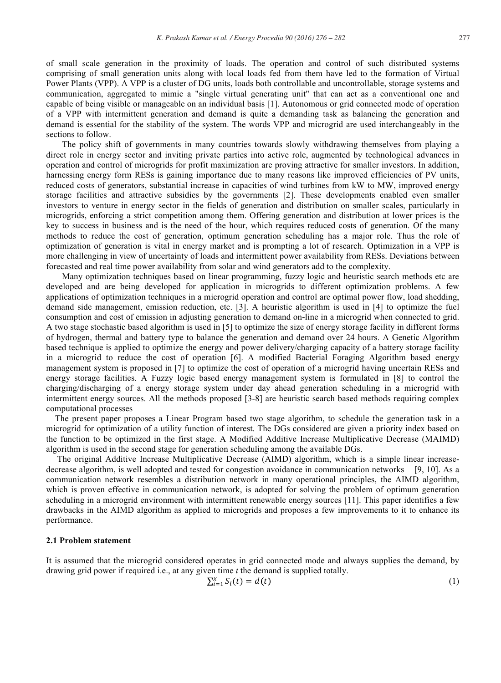of small scale generation in the proximity of loads. The operation and control of such distributed systems comprising of small generation units along with local loads fed from them have led to the formation of Virtual Power Plants (VPP). A VPP is a cluster of DG units, loads both controllable and uncontrollable, storage systems and communication, aggregated to mimic a "single virtual generating unit" that can act as a conventional one and capable of being visible or manageable on an individual basis [1]. Autonomous or grid connected mode of operation of a VPP with intermittent generation and demand is quite a demanding task as balancing the generation and demand is essential for the stability of the system. The words VPP and microgrid are used interchangeably in the sections to follow.

The policy shift of governments in many countries towards slowly withdrawing themselves from playing a direct role in energy sector and inviting private parties into active role, augmented by technological advances in operation and control of microgrids for profit maximization are proving attractive for smaller investors. In addition, harnessing energy form RESs is gaining importance due to many reasons like improved efficiencies of PV units, reduced costs of generators, substantial increase in capacities of wind turbines from kW to MW, improved energy storage facilities and attractive subsidies by the governments [2]. These developments enabled even smaller investors to venture in energy sector in the fields of generation and distribution on smaller scales, particularly in microgrids, enforcing a strict competition among them. Offering generation and distribution at lower prices is the key to success in business and is the need of the hour, which requires reduced costs of generation. Of the many methods to reduce the cost of generation, optimum generation scheduling has a major role. Thus the role of optimization of generation is vital in energy market and is prompting a lot of research. Optimization in a VPP is more challenging in view of uncertainty of loads and intermittent power availability from RESs. Deviations between forecasted and real time power availability from solar and wind generators add to the complexity.

Many optimization techniques based on linear programming, fuzzy logic and heuristic search methods etc are developed and are being developed for application in microgrids to different optimization problems. A few applications of optimization techniques in a microgrid operation and control are optimal power flow, load shedding, demand side management, emission reduction, etc. [3]. A heuristic algorithm is used in [4] to optimize the fuel consumption and cost of emission in adjusting generation to demand on-line in a microgrid when connected to grid. A two stage stochastic based algorithm is used in [5] to optimize the size of energy storage facility in different forms of hydrogen, thermal and battery type to balance the generation and demand over 24 hours. A Genetic Algorithm based technique is applied to optimize the energy and power delivery/charging capacity of a battery storage facility in a microgrid to reduce the cost of operation [6]. A modified Bacterial Foraging Algorithm based energy management system is proposed in [7] to optimize the cost of operation of a microgrid having uncertain RESs and energy storage facilities. A Fuzzy logic based energy management system is formulated in [8] to control the charging/discharging of a energy storage system under day ahead generation scheduling in a microgrid with intermittent energy sources. All the methods proposed [3-8] are heuristic search based methods requiring complex computational processes

 The present paper proposes a Linear Program based two stage algorithm, to schedule the generation task in a microgrid for optimization of a utility function of interest. The DGs considered are given a priority index based on the function to be optimized in the first stage. A Modified Additive Increase Multiplicative Decrease (MAIMD) algorithm is used in the second stage for generation scheduling among the available DGs.

 The original Additive Increase Multiplicative Decrease (AIMD) algorithm, which is a simple linear increasedecrease algorithm, is well adopted and tested for congestion avoidance in communication networks [9, 10]. As a communication network resembles a distribution network in many operational principles, the AIMD algorithm, which is proven effective in communication network, is adopted for solving the problem of optimum generation scheduling in a microgrid environment with intermittent renewable energy sources [11]. This paper identifies a few drawbacks in the AIMD algorithm as applied to microgrids and proposes a few improvements to it to enhance its performance.

#### **2.1 Problem statement**

It is assumed that the microgrid considered operates in grid connected mode and always supplies the demand, by drawing grid power if required i.e., at any given time *t* the demand is supplied totally.

$$
\sum_{i=1}^{x} S_i(t) = d(t) \tag{1}
$$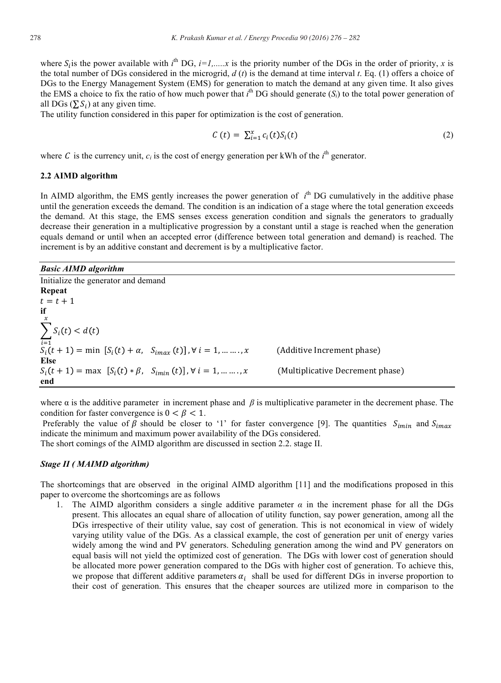where  $S_i$  is the power available with  $i^{\text{th}}$  DG,  $i=1,\dots,x$  is the priority number of the DGs in the order of priority, x is the total number of DGs considered in the microgrid, *d* (*t*) is the demand at time interval *t*. Eq. (1) offers a choice of DGs to the Energy Management System (EMS) for generation to match the demand at any given time. It also gives the EMS a choice to fix the ratio of how much power that  $i^{\text{th}}$  DG should generate  $(S_i)$  to the total power generation of all DGs  $(\sum S_i)$  at any given time.

The utility function considered in this paper for optimization is the cost of generation.

$$
C(t) = \sum_{i=1}^{x} c_i(t) S_i(t)
$$
 (2)

where C is the currency unit,  $c_i$  is the cost of energy generation per kWh of the  $i^{\text{th}}$  generator.

#### **2.2 AIMD algorithm**

In AIMD algorithm, the EMS gently increases the power generation of  $i<sup>th</sup>$  DG cumulatively in the additive phase until the generation exceeds the demand. The condition is an indication of a stage where the total generation exceeds the demand. At this stage, the EMS senses excess generation condition and signals the generators to gradually decrease their generation in a multiplicative progression by a constant until a stage is reached when the generation equals demand or until when an accepted error (difference between total generation and demand) is reached. The increment is by an additive constant and decrement is by a multiplicative factor.

#### *Basic AIMD algorithm*

Initialize the generator and demand **Repeat**   $t = t + 1$ **if**   $S_i(t) < d(t)$  $\boldsymbol{\chi}$  $S_i$ (t + 1) = min [S<sub>i</sub>(t) +  $\alpha$ , S<sub>imax</sub> (t)],  $\forall$  i = 1, ... ...., x (A dditive Increment phase) **Else**   $S_i(t + 1) = \max \left[ S_i(t) * \beta, S_{imin}(t) \right], \forall i = 1, \dots, x$ Decrement phase) **end** 

where α is the additive parameter in increment phase and *β* is multiplicative parameter in the decrement phase. The condition for faster convergence is  $0 < \beta < 1$ .

Preferably the value of  $\beta$  should be closer to '1' for faster convergence [9]. The quantities  $S_{imin}$  and  $S_{imax}$ indicate the minimum and maximum power availability of the DGs considered.

The short comings of the AIMD algorithm are discussed in section 2.2. stage II.

### *Stage II ( MAIMD algorithm)*

The shortcomings that are observed in the original AIMD algorithm [11] and the modifications proposed in this paper to overcome the shortcomings are as follows

1. The AIMD algorithm considers a single additive parameter  $\alpha$  in the increment phase for all the DGs present. This allocates an equal share of allocation of utility function, say power generation, among all the DGs irrespective of their utility value, say cost of generation. This is not economical in view of widely varying utility value of the DGs. As a classical example, the cost of generation per unit of energy varies widely among the wind and PV generators. Scheduling generation among the wind and PV generators on equal basis will not yield the optimized cost of generation. The DGs with lower cost of generation should be allocated more power generation compared to the DGs with higher cost of generation. To achieve this, we propose that different additive parameters  $a_i$  shall be used for different DGs in inverse proportion to their cost of generation. This ensures that the cheaper sources are utilized more in comparison to the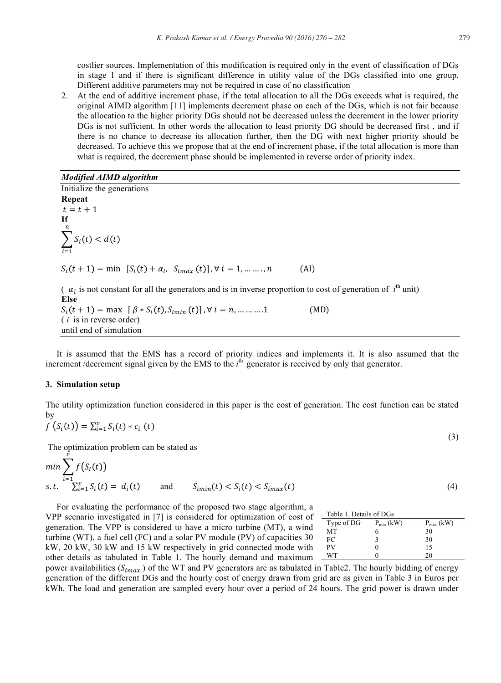costlier sources. Implementation of this modification is required only in the event of classification of DGs in stage 1 and if there is significant difference in utility value of the DGs classified into one group. Different additive parameters may not be required in case of no classification

2. At the end of additive increment phase, if the total allocation to all the DGs exceeds what is required, the original AIMD algorithm [11] implements decrement phase on each of the DGs, which is not fair because the allocation to the higher priority DGs should not be decreased unless the decrement in the lower priority DGs is not sufficient. In other words the allocation to least priority DG should be decreased first , and if there is no chance to decrease its allocation further, then the DG with next higher priority should be decreased. To achieve this we propose that at the end of increment phase, if the total allocation is more than what is required, the decrement phase should be implemented in reverse order of priority index.

## *Modified AIMD algorithm*

Initialize the generations **Repeat**   $t = t + 1$ **If**   $S_i(t) < d(t)$  $\boldsymbol{n}$  $i=1$  $S_i(t + 1) = \min \left[ S_i(t) + \alpha_i, S_{imax}(t) \right], \forall i = 1, \dots, n$  $(AI)$  $(\alpha_i)$  is not constant for all the generators and is in inverse proportion to cost of generation of  $i^{\text{th}}$  unit) **Else** 

 $S_i(t + 1) = \max \left[ \beta * S_i(t), S_{imin}(t) \right], \forall i = n, \dots, 1$  (MD) ( *i* is in reverse order) until end of simulation

 It is assumed that the EMS has a record of priority indices and implements it. It is also assumed that the increment /decrement signal given by the EMS to the  $i<sup>th</sup>$  generator is received by only that generator.

#### **3. Simulation setup**

The utility optimization function considered in this paper is the cost of generation. The cost function can be stated by

$$
f\left(S_i(t)\right) = \sum_{i=1}^x S_i(t) * c_i\left(t\right) \tag{3}
$$

The optimization problem can be stated as

$$
\min \sum_{i=1}^{\hat{x}} f(S_i(t))
$$
  
s.t.  $\sum_{i=1}^{x} S_i(t) = d_i(t)$  and  $S_{imin}(t) < S_i(t) < S_{imax}(t)$  (4)

 For evaluating the performance of the proposed two stage algorithm, a VPP scenario investigated in [7] is considered for optimization of cost of generation. The VPP is considered to have a micro turbine (MT), a wind turbine (WT), a fuel cell (FC) and a solar PV module (PV) of capacities 30 kW, 20 kW, 30 kW and 15 kW respectively in grid connected mode with other details as tabulated in Table 1. The hourly demand and maximum

| Table 1. Details of DGs |                |                |  |  |  |  |
|-------------------------|----------------|----------------|--|--|--|--|
| Type of DG              | $P_{min}$ (kW) | $P_{max}$ (kW) |  |  |  |  |
| MТ                      |                | 30             |  |  |  |  |
| FС                      |                | 30             |  |  |  |  |
| PV                      |                | 15             |  |  |  |  |
| WT                      |                | 20             |  |  |  |  |
|                         |                |                |  |  |  |  |

power availabilities ( $S_{imax}$ ) of the WT and PV generators are as tabulated in Table2. The hourly bidding of energy generation of the different DGs and the hourly cost of energy drawn from grid are as given in Table 3 in Euros per kWh. The load and generation are sampled every hour over a period of 24 hours. The grid power is drawn under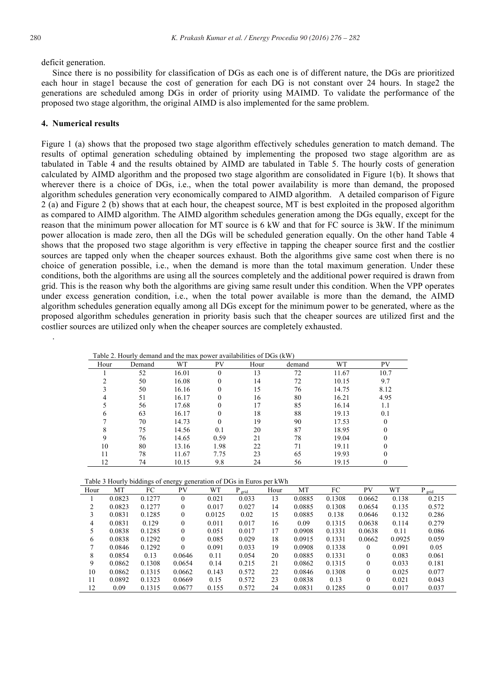.

deficit generation.

 Since there is no possibility for classification of DGs as each one is of different nature, the DGs are prioritized each hour in stage1 because the cost of generation for each DG is not constant over 24 hours. In stage2 the generations are scheduled among DGs in order of priority using MAIMD. To validate the performance of the proposed two stage algorithm, the original AIMD is also implemented for the same problem.

#### **4. Numerical results**

Figure 1 (a) shows that the proposed two stage algorithm effectively schedules generation to match demand. The results of optimal generation scheduling obtained by implementing the proposed two stage algorithm are as tabulated in Table 4 and the results obtained by AIMD are tabulated in Table 5. The hourly costs of generation calculated by AIMD algorithm and the proposed two stage algorithm are consolidated in Figure 1(b). It shows that wherever there is a choice of DGs, i.e., when the total power availability is more than demand, the proposed algorithm schedules generation very economically compared to AIMD algorithm. A detailed comparison of Figure 2 (a) and Figure 2 (b) shows that at each hour, the cheapest source, MT is best exploited in the proposed algorithm as compared to AIMD algorithm. The AIMD algorithm schedules generation among the DGs equally, except for the reason that the minimum power allocation for MT source is 6 kW and that for FC source is 3kW. If the minimum power allocation is made zero, then all the DGs will be scheduled generation equally. On the other hand Table 4 shows that the proposed two stage algorithm is very effective in tapping the cheaper source first and the costlier sources are tapped only when the cheaper sources exhaust. Both the algorithms give same cost when there is no choice of generation possible, i.e., when the demand is more than the total maximum generation. Under these conditions, both the algorithms are using all the sources completely and the additional power required is drawn from grid. This is the reason why both the algorithms are giving same result under this condition. When the VPP operates under excess generation condition, i.e., when the total power available is more than the demand, the AIMD algorithm schedules generation equally among all DGs except for the minimum power to be generated, where as the proposed algorithm schedules generation in priority basis such that the cheaper sources are utilized first and the costlier sources are utilized only when the cheaper sources are completely exhausted.

| Table 2. Hourly demand and the max power availabilities of DGs (kW) |        |       |          |      |        |       |      |  |
|---------------------------------------------------------------------|--------|-------|----------|------|--------|-------|------|--|
| Hour                                                                | Demand | WT    | PV       | Hour | demand | WT    | PV   |  |
|                                                                     | 52     | 16.01 | $\Omega$ | 13   | 72     | 11.67 | 10.7 |  |
|                                                                     | 50     | 16.08 |          | 14   | 72     | 10.15 | 9.7  |  |
|                                                                     | 50     | 16.16 | 0        | 15   | 76     | 14.75 | 8.12 |  |
|                                                                     | 51     | 16.17 |          | 16   | 80     | 16.21 | 4.95 |  |
|                                                                     | 56     | 17.68 |          | 17   | 85     | 16.14 | 1.1  |  |
| 6                                                                   | 63     | 16.17 | 0        | 18   | 88     | 19.13 | 0.1  |  |
|                                                                     | 70     | 14.73 |          | 19   | 90     | 17.53 | 0    |  |
| 8                                                                   | 75     | 14.56 | 0.1      | 20   | 87     | 18.95 |      |  |
| 9                                                                   | 76     | 14.65 | 0.59     | 21   | 78     | 19.04 |      |  |
| 10                                                                  | 80     | 13.16 | 1.98     | 22   | 71     | 19.11 | 0    |  |
| 11                                                                  | 78     | 11.67 | 7.75     | 23   | 65     | 19.93 |      |  |
| 12                                                                  | 74     | 10.15 | 9.8      | 24   | 56     | 19.15 |      |  |

| Table 3 Hourly biddings of energy generation of DGs in Euros per kWh |  |  |  |
|----------------------------------------------------------------------|--|--|--|

| Hour | MT     | FC     | PV           | WT     | $P_{\text{grid}}$ | Hour | MT     | FC     | PV       | WT     | $P_{\text{grid}}$ |
|------|--------|--------|--------------|--------|-------------------|------|--------|--------|----------|--------|-------------------|
|      | 0.0823 | 0.1277 | $\Omega$     | 0.021  | 0.033             | 13   | 0.0885 | 0.1308 | 0.0662   | 0.138  | 0.215             |
| 2    | 0.0823 | 0.1277 | $\theta$     | 0.017  | 0.027             | 14   | 0.0885 | 0.1308 | 0.0654   | 0.135  | 0.572             |
| 3    | 0.0831 | 0.1285 | $\theta$     | 0.0125 | 0.02              | 15   | 0.0885 | 0.138  | 0.0646   | 0.132  | 0.286             |
| 4    | 0.0831 | 0.129  | $\theta$     | 0.011  | 0.017             | 16   | 0.09   | 0.1315 | 0.0638   | 0.114  | 0.279             |
| 5.   | 0.0838 | 0.1285 | $\theta$     | 0.051  | 0.017             | 17   | 0.0908 | 0.1331 | 0.0638   | 0.11   | 0.086             |
| 6    | 0.0838 | 0.1292 | $\mathbf{0}$ | 0.085  | 0.029             | 18   | 0.0915 | 0.1331 | 0.0662   | 0.0925 | 0.059             |
|      | 0.0846 | 0.1292 | $\theta$     | 0.091  | 0.033             | 19   | 0.0908 | 0.1338 | $\Omega$ | 0.091  | 0.05              |
| 8    | 0.0854 | 0.13   | 0.0646       | 0.11   | 0.054             | 20   | 0.0885 | 0.1331 | $\theta$ | 0.083  | 0.061             |
| 9    | 0.0862 | 0.1308 | 0.0654       | 0.14   | 0.215             | 21   | 0.0862 | 0.1315 | $\Omega$ | 0.033  | 0.181             |
| 10   | 0.0862 | 0.1315 | 0.0662       | 0.143  | 0.572             | 22   | 0.0846 | 0.1308 | $\theta$ | 0.025  | 0.077             |
| 11   | 0.0892 | 0.1323 | 0.0669       | 0.15   | 0.572             | 23   | 0.0838 | 0.13   | $\theta$ | 0.021  | 0.043             |
| 12   | 0.09   | 0.1315 | 0.0677       | 0.155  | 0.572             | 24   | 0.0831 | 0.1285 | $\theta$ | 0.017  | 0.037             |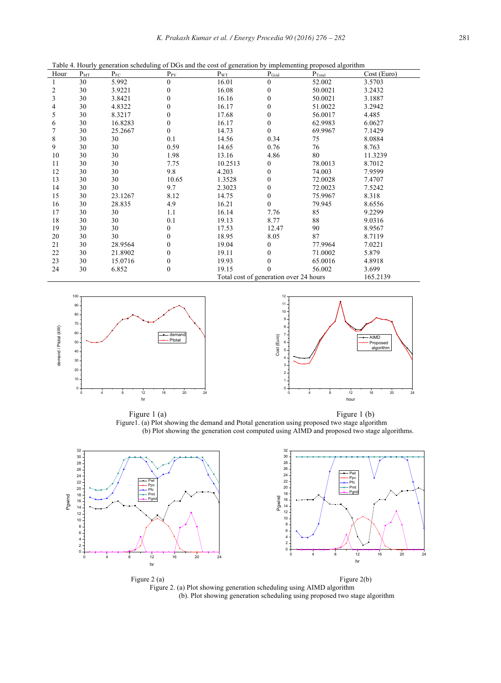| Hour | $P_{MT}$ | $P_{FC}$ | $P_{PV}$ | $P_{WT}$                               | $P_{\text{Grid}}$ | $P_{\text{Total}}$ | Cost (Euro) |
|------|----------|----------|----------|----------------------------------------|-------------------|--------------------|-------------|
|      | 30       | 5.992    | $\theta$ | 16.01                                  | $\overline{0}$    | 52.002             | 3.5703      |
| 2    | 30       | 3.9221   | 0        | 16.08                                  | 0                 | 50.0021            | 3.2432      |
| 3    | 30       | 3.8421   | 0        | 16.16                                  | 0                 | 50.0021            | 3.1887      |
| 4    | 30       | 4.8322   | 0        | 16.17                                  | 0                 | 51.0022            | 3.2942      |
| 5    | 30       | 8.3217   | 0        | 17.68                                  | 0                 | 56.0017            | 4.485       |
| 6    | 30       | 16.8283  | $\Omega$ | 16.17                                  | 0                 | 62.9983            | 6.0627      |
| 7    | 30       | 25.2667  | $\Omega$ | 14.73                                  | $\boldsymbol{0}$  | 69.9967            | 7.1429      |
| 8    | 30       | 30       | 0.1      | 14.56                                  | 0.34              | 75                 | 8.0884      |
| 9    | 30       | 30       | 0.59     | 14.65                                  | 0.76              | 76                 | 8.763       |
| 10   | 30       | 30       | 1.98     | 13.16                                  | 4.86              | 80                 | 11.3239     |
| 11   | 30       | 30       | 7.75     | 10.2513                                | 0                 | 78.0013            | 8.7012      |
| 12   | 30       | 30       | 9.8      | 4.203                                  | 0                 | 74.003             | 7.9599      |
| 13   | 30       | 30       | 10.65    | 1.3528                                 | 0                 | 72.0028            | 7.4707      |
| 14   | 30       | 30       | 9.7      | 2.3023                                 | 0                 | 72.0023            | 7.5242      |
| 15   | 30       | 23.1267  | 8.12     | 14.75                                  | 0                 | 75.9967            | 8.318       |
| 16   | 30       | 28.835   | 4.9      | 16.21                                  | $\boldsymbol{0}$  | 79.945             | 8.6556      |
| 17   | 30       | 30       | 1.1      | 16.14                                  | 7.76              | 85                 | 9.2299      |
| 18   | 30       | 30       | 0.1      | 19.13                                  | 8.77              | 88                 | 9.0316      |
| 19   | 30       | 30       | 0        | 17.53                                  | 12.47             | 90                 | 8.9567      |
| 20   | 30       | 30       | 0        | 18.95                                  | 8.05              | 87                 | 8.7119      |
| 21   | 30       | 28.9564  | 0        | 19.04                                  | 0                 | 77.9964            | 7.0221      |
| 22   | 30       | 21.8902  | 0        | 19.11                                  | 0                 | 71.0002            | 5.879       |
| 23   | 30       | 15.0716  | 0        | 19.93                                  |                   | 65.0016            | 4.8918      |
| 24   | 30       | 6.852    | 0        | 19.15                                  | 0                 | 56.002             | 3.699       |
|      |          |          |          | Total cost of generation over 24 hours |                   |                    | 165.2139    |

Table 4. Hourly generation scheduling of DGs and the cost of generation by implementing proposed algorithm





Figure 1 (a) Figure 1 (b) Figure1. (a) Plot showing the demand and Ptotal generation using proposed two stage algorithm (b) Plot showing the generation cost computed using AIMD and proposed two stage algorithms.



Figure 2 (a) Figure 2(b) Figure 2. (a) Plot showing generation scheduling using AIMD algorithm (b). Plot showing generation scheduling using proposed two stage algorithm